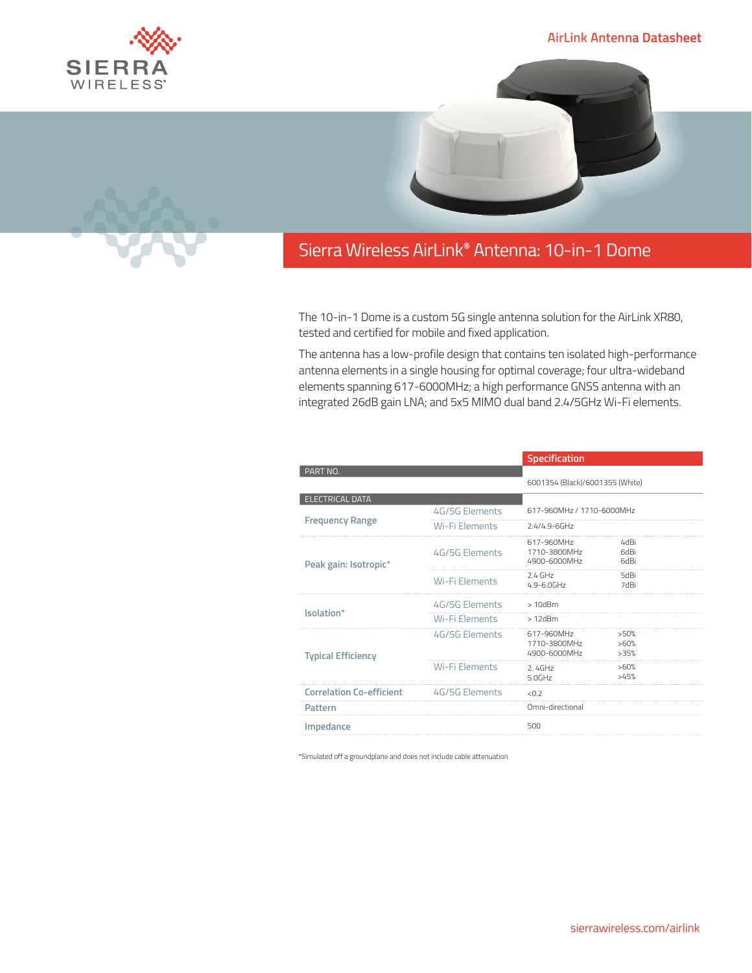

## **AirLink Antenna Datasheet**



## Sierra Wireless **EMBEDDED MODULES HL SERIES** AirLink**®** Antenna: 10-in-1 Dome

The 10-in-1 Dome is a custom 5G single antenna solution for the AirLink XR80, tested and certified for mobile and fixed application.

The antenna has a low-profile design that contains ten isolated high-performance antenna elements in a single housing for optimal coverage; four ultra-wideband elements spanning 617-6000MHz; a high performance GNSS antenna with an integrated 26dB gain LNA; and 5x5 MIMO dual band 2.4/5GHz Wi-Fi elements.

|                                 |                       | Specification                              |                      |  |
|---------------------------------|-----------------------|--------------------------------------------|----------------------|--|
| PART NO.                        |                       | 6001354 (Black)/6001355 (White)            |                      |  |
| <b>ELECTRICAL DATA</b>          |                       |                                            |                      |  |
| <b>Frequency Range</b>          | 4G/5G Elements        | 617-960MHz / 1710-6000MHz                  |                      |  |
|                                 | Wi-Fi Elements        | $2.4/4.9 - 6$ GHz                          |                      |  |
| Peak gain: Isotropic*           | 4G/5G Flements        | 617-960MHz<br>1710-3800MHz<br>4900-6000MHz | 4dBi<br>6dBi<br>6dBi |  |
|                                 | <b>Wi-Fi Flements</b> | $2.4$ GHz<br>$4.9 - 6.0$ GHz               | 5dBi<br>7dBi         |  |
| Isolation*                      | 4G/5G Elements        | $>10$ d $Bm$                               |                      |  |
|                                 | <b>Wi-Fi Elements</b> | $>12$ d $Bm$                               |                      |  |
| <b>Typical Efficiency</b>       | 4G/5G Elements        | 617-960MHz<br>1710-3800MHz<br>4900-6000MHz | >50%<br>>60%<br>>35% |  |
|                                 | Wi-Fi Flements        | 2.4GHz<br>5.0GHz                           | >60%<br>>45%         |  |
| <b>Correlation Co-efficient</b> | 4G/5G Flements        | < 0.2                                      |                      |  |
| Pattern                         |                       | Omni-directional                           |                      |  |
| Impedance                       |                       | 500                                        |                      |  |

\*Simulated off a groundplane and does not include cable attenuation